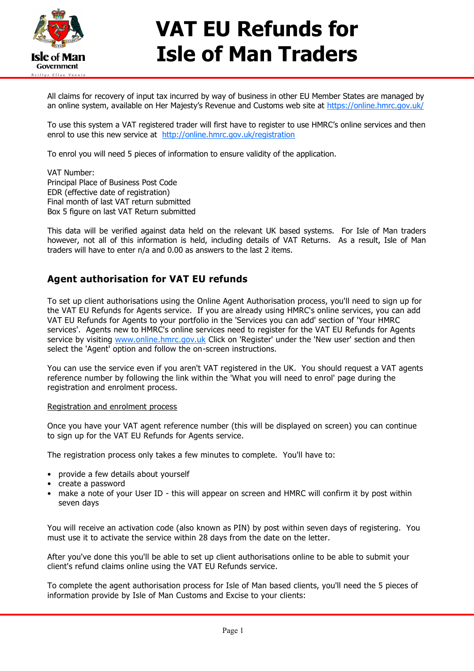

## **VAT EU Refunds for Isle of Man Traders**

All claims for recovery of input tax incurred by way of business in other EU Member States are managed by an online system, available on Her Majesty's Revenue and Customs web site at <https://online.hmrc.gov.uk/>

To use this system a VAT registered trader will first have to register to use HMRC's online services and then enrol to use this new service at <http://online.hmrc.gov.uk/registration>

To enrol you will need 5 pieces of information to ensure validity of the application.

VAT Number: Principal Place of Business Post Code EDR (effective date of registration) Final month of last VAT return submitted Box 5 figure on last VAT Return submitted

This data will be verified against data held on the relevant UK based systems. For Isle of Man traders however, not all of this information is held, including details of VAT Returns. As a result, Isle of Man traders will have to enter n/a and 0.00 as answers to the last 2 items.

## **Agent authorisation for VAT EU refunds**

To set up client authorisations using the Online Agent Authorisation process, you'll need to sign up for the VAT EU Refunds for Agents service. If you are already using HMRC's online services, you can add VAT EU Refunds for Agents to your portfolio in the 'Services you can add' section of 'Your HMRC services'. Agents new to HMRC's online services need to register for the VAT EU Refunds for Agents service by visiting [www.online.hmrc.gov.uk](https://online.hmrc.gov.uk/login?GAREASONCODE=-1&GARESOURCEID=Common&GAURI=https://www.online.hmrc.gov.uk/home&Reason=-1&APPID=Common&URI=https://www.online.hmrc.gov.uk/home) Click on 'Register' under the 'New user' section and then select the 'Agent' option and follow the on-screen instructions.

You can use the service even if you aren't VAT registered in the UK. You should request a VAT agents reference number by following the link within the 'What you will need to enrol' page during the registration and enrolment process.

## Registration and enrolment process

Once you have your VAT agent reference number (this will be displayed on screen) you can continue to sign up for the VAT EU Refunds for Agents service.

The registration process only takes a few minutes to complete. You'll have to:

- provide a few details about yourself
- create a password
- make a note of your User ID this will appear on screen and HMRC will confirm it by post within seven days

You will receive an activation code (also known as PIN) by post within seven days of registering. You must use it to activate the service within 28 days from the date on the letter.

After you've done this you'll be able to set up client authorisations online to be able to submit your client's refund claims online using the VAT EU Refunds service.

To complete the agent authorisation process for Isle of Man based clients, you'll need the 5 pieces of information provide by Isle of Man Customs and Excise to your clients: